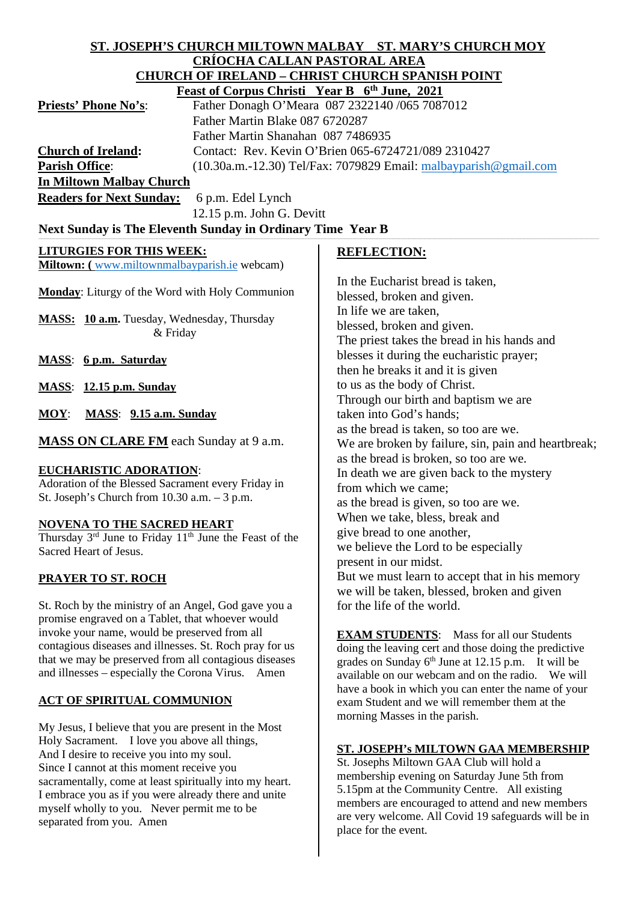#### **ST. JOSEPH'S CHURCH MILTOWN MALBAY ST. MARY'S CHURCH MOY CRÍOCHA CALLAN PASTORAL AREA CHURCH OF IRELAND – CHRIST CHURCH SPANISH POINT Feast of Corpus Christi Year B 6th June, 2021**

| $\frac{1}{2}$ case of Corpus Christian Team D $\alpha$ builty Form  |
|---------------------------------------------------------------------|
| Father Donagh O'Meara 087 2322140 /065 7087012                      |
| Father Martin Blake 087 6720287                                     |
| Father Martin Shanahan 087 7486935                                  |
| Contact: Rev. Kevin O'Brien 065-6724721/089 2310427                 |
| $(10.30a.m.-12.30)$ Tel/Fax: 7079829 Email: malbayparish @gmail.com |
| In Miltown Malbay Church                                            |
|                                                                     |

**Readers for Next Sunday:** 6 p.m. Edel Lynch 12.15 p.m. John G. Devitt

Next Sunday is The Eleventh Sunday in Ordinary Time Year B

# **LITURGIES FOR THIS WEEK:**

**Miltown: (** [www.miltownmalbayparish.ie](http://www.miltownmalbayparish.ie/) webcam)

**Monday**: Liturgy of the Word with Holy Communion

**MASS: 10 a.m.** Tuesday, Wednesday, Thursday & Friday

**MASS**: **6 p.m. Saturday**

**MASS**: **12.15 p.m. Sunday**

**MOY**: **MASS**: **9.15 a.m. Sunday**

**MASS ON CLARE FM** each Sunday at 9 a.m.

#### **EUCHARISTIC ADORATION**:

Adoration of the Blessed Sacrament every Friday in St. Joseph's Church from 10.30 a.m. – 3 p.m.

#### **NOVENA TO THE SACRED HEART**

Thursday 3<sup>rd</sup> June to Friday 11<sup>th</sup> June the Feast of the Sacred Heart of Jesus.

# **PRAYER TO ST. ROCH**

St. Roch by the ministry of an Angel, God gave you a promise engraved on a Tablet, that whoever would invoke your name, would be preserved from all contagious diseases and illnesses. St. Roch pray for us that we may be preserved from all contagious diseases and illnesses – especially the Corona Virus. Amen

# **ACT OF SPIRITUAL COMMUNION**

My Jesus, I believe that you are present in the Most Holy Sacrament. I love you above all things, And I desire to receive you into my soul. Since I cannot at this moment receive you sacramentally, come at least spiritually into my heart. I embrace you as if you were already there and unite myself wholly to you. Never permit me to be separated from you. Amen

#### **REFLECTION:**

In the Eucharist bread is taken, blessed, broken and given. In life we are taken, blessed, broken and given. The priest takes the bread in his hands and blesses it during the eucharistic prayer; then he breaks it and it is given to us as the body of Christ. Through our birth and baptism we are taken into God's hands; as the bread is taken, so too are we. We are broken by failure, sin, pain and heartbreak; as the bread is broken, so too are we. In death we are given back to the mystery from which we came; as the bread is given, so too are we. When we take, bless, break and give bread to one another, we believe the Lord to be especially present in our midst. But we must learn to accept that in his memory we will be taken, blessed, broken and given for the life of the world.

**EXAM STUDENTS**: Mass for all our Students doing the leaving cert and those doing the predictive grades on Sunday  $6<sup>th</sup>$  June at 12.15 p.m. It will be available on our webcam and on the radio. We will have a book in which you can enter the name of your exam Student and we will remember them at the morning Masses in the parish.

# **ST. JOSEPH's MILTOWN GAA MEMBERSHIP**

St. Josephs Miltown GAA Club will hold a membership evening on Saturday June 5th from 5.15pm at the Community Centre. All existing members are encouraged to attend and new members are very welcome. All Covid 19 safeguards will be in place for the event.